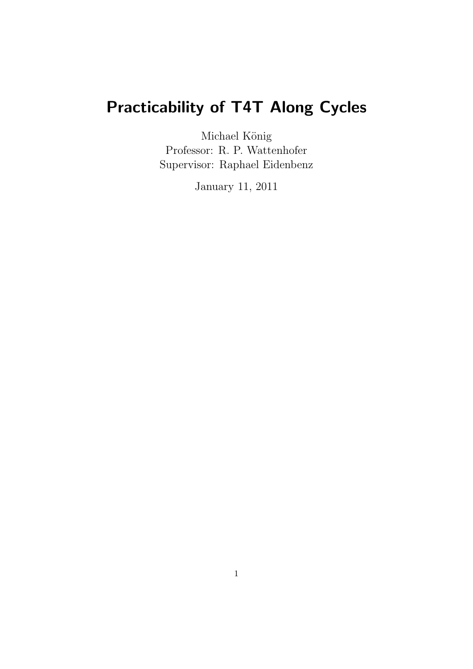# Practicability of T4T Along Cycles

Michael König Professor: R. P. Wattenhofer Supervisor: Raphael Eidenbenz

January 11, 2011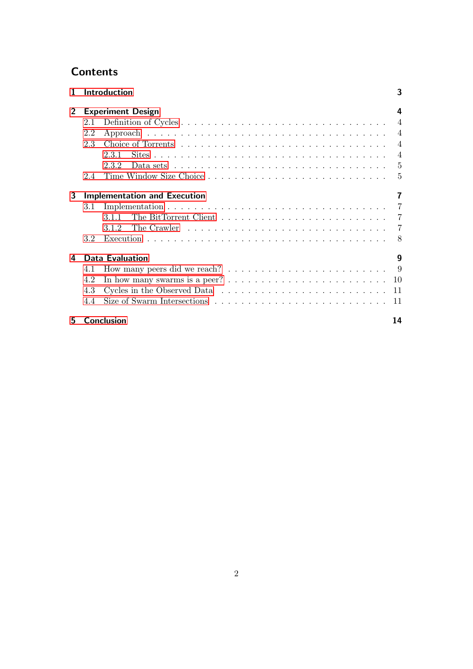# **Contents**

| $\mathbf{1}$   |                                     | <b>Introduction</b>                                                                             | 3  |  |  |  |  |  |  |  |
|----------------|-------------------------------------|-------------------------------------------------------------------------------------------------|----|--|--|--|--|--|--|--|
| $\overline{2}$ |                                     | <b>Experiment Design</b>                                                                        | 4  |  |  |  |  |  |  |  |
|                | 2.1                                 |                                                                                                 |    |  |  |  |  |  |  |  |
|                | 2.2                                 |                                                                                                 |    |  |  |  |  |  |  |  |
|                | 2.3                                 |                                                                                                 |    |  |  |  |  |  |  |  |
|                |                                     | 2.3.1                                                                                           |    |  |  |  |  |  |  |  |
|                |                                     | Data sets $\ldots \ldots \ldots \ldots \ldots \ldots \ldots \ldots \ldots \ldots \ldots$<br>232 |    |  |  |  |  |  |  |  |
|                | 2.4                                 |                                                                                                 |    |  |  |  |  |  |  |  |
| 3              | <b>Implementation and Execution</b> |                                                                                                 |    |  |  |  |  |  |  |  |
|                | 3.1                                 |                                                                                                 |    |  |  |  |  |  |  |  |
|                |                                     | 311                                                                                             |    |  |  |  |  |  |  |  |
|                |                                     | 3.1.2                                                                                           | 7  |  |  |  |  |  |  |  |
|                | 3.2                                 |                                                                                                 |    |  |  |  |  |  |  |  |
| 4              |                                     | <b>Data Evaluation</b>                                                                          | 9  |  |  |  |  |  |  |  |
|                | 4.1                                 |                                                                                                 |    |  |  |  |  |  |  |  |
|                | 4.2                                 |                                                                                                 |    |  |  |  |  |  |  |  |
|                | 4.3                                 |                                                                                                 |    |  |  |  |  |  |  |  |
|                | 44                                  |                                                                                                 |    |  |  |  |  |  |  |  |
| 5.             |                                     | <b>Conclusion</b>                                                                               | 14 |  |  |  |  |  |  |  |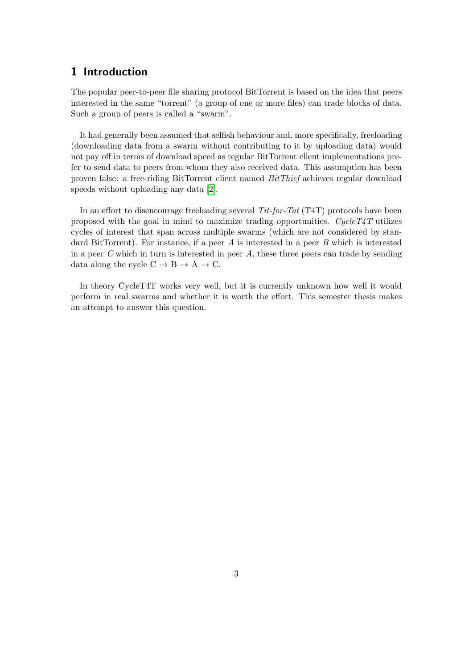# <span id="page-2-0"></span>1 Introduction

The popular peer-to-peer file sharing protocol BitTorrent is based on the idea that peers interested in the same "torrent" (a group of one or more files) can trade blocks of data. Such a group of peers is called a "swarm".

It had generally been assumed that selfish behaviour and, more specifically, freeloading (downloading data from a swarm without contributing to it by uploading data) would not pay off in terms of download speed as regular BitTorrent client implementations prefer to send data to peers from whom they also received data. This assumption has been proven false: a free-riding BitTorrent client named BitThief achieves regular download speeds without uploading any data [\[2\]](#page-15-0).

In an effort to disencourage freeloading several Tit-for-Tat (T4T) protocols have been proposed with the goal in mind to maximize trading opportunities. CycleT4T utilizes cycles of interest that span across multiple swarms (which are not considered by standard BitTorrent). For instance, if a peer  $A$  is interested in a peer  $B$  which is interested in a peer C which in turn is interested in peer  $A$ , these three peers can trade by sending data along the cycle  $C \rightarrow B \rightarrow A \rightarrow C$ .

In theory CycleT4T works very well, but it is currently unknown how well it would perform in real swarms and whether it is worth the effort. This semester thesis makes an attempt to answer this question.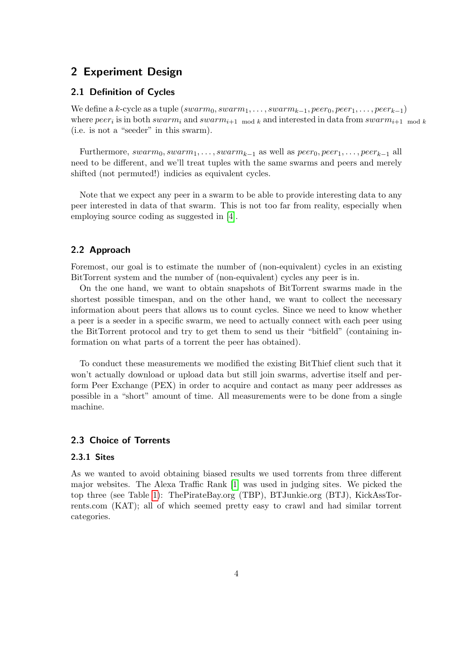# <span id="page-3-0"></span>2 Experiment Design

#### <span id="page-3-1"></span>2.1 Definition of Cycles

We define a k-cycle as a tuple  $(swarm_0, swarm_1, \ldots, swarm_{k-1}, peer_0, peer_1, \ldots, peer_{k-1})$ where  $peer_i$  is in both swarm<sub>i</sub> and swarm<sub>i+1</sub> mod k and interested in data from swarm<sub>i+1</sub> mod k (i.e. is not a "seeder" in this swarm).

Furthermore,  $swarm_0, swarm_1, \ldots, swarm_{k-1}$  as well as  $peer_0, peer_{1}, \ldots, peer_{k-1}$  all need to be different, and we'll treat tuples with the same swarms and peers and merely shifted (not permuted!) indicies as equivalent cycles.

Note that we expect any peer in a swarm to be able to provide interesting data to any peer interested in data of that swarm. This is not too far from reality, especially when employing source coding as suggested in [\[4\]](#page-15-1).

### <span id="page-3-2"></span>2.2 Approach

Foremost, our goal is to estimate the number of (non-equivalent) cycles in an existing BitTorrent system and the number of (non-equivalent) cycles any peer is in.

On the one hand, we want to obtain snapshots of BitTorrent swarms made in the shortest possible timespan, and on the other hand, we want to collect the necessary information about peers that allows us to count cycles. Since we need to know whether a peer is a seeder in a specific swarm, we need to actually connect with each peer using the BitTorrent protocol and try to get them to send us their "bitfield" (containing information on what parts of a torrent the peer has obtained).

To conduct these measurements we modified the existing BitThief client such that it won't actually download or upload data but still join swarms, advertise itself and perform Peer Exchange (PEX) in order to acquire and contact as many peer addresses as possible in a "short" amount of time. All measurements were to be done from a single machine.

#### <span id="page-3-3"></span>2.3 Choice of Torrents

#### <span id="page-3-4"></span>2.3.1 Sites

As we wanted to avoid obtaining biased results we used torrents from three different major websites. The Alexa Traffic Rank [\[1\]](#page-15-2) was used in judging sites. We picked the top three (see Table [1\)](#page-4-2): ThePirateBay.org (TBP), BTJunkie.org (BTJ), KickAssTorrents.com (KAT); all of which seemed pretty easy to crawl and had similar torrent categories.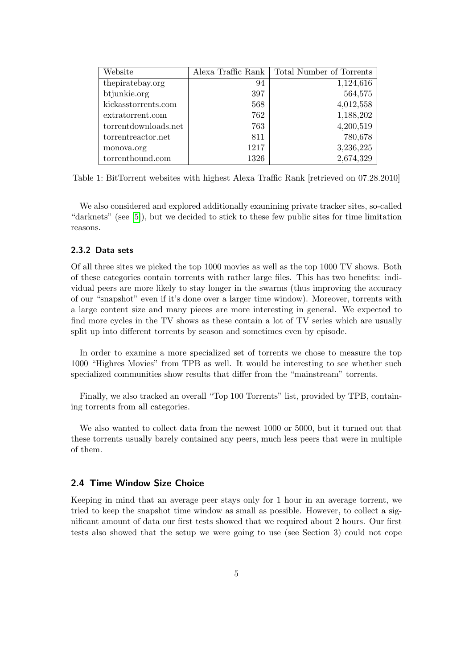| Website              | Alexa Traffic Rank | Total Number of Torrents |
|----------------------|--------------------|--------------------------|
| the pirate bay.org   | 94                 | 1,124,616                |
| btjunkie.org         | 397                | 564,575                  |
| kickasstorrents.com  | 568                | 4,012,558                |
| extratorrent.com     | 762                | 1,188,202                |
| torrentdownloads.net | 763                | 4,200,519                |
| torrentreactor.net   | 811                | 780,678                  |
| monova.org           | 1217               | 3,236,225                |
| torrenthound.com     | 1326               | 2,674,329                |

<span id="page-4-2"></span>Table 1: BitTorrent websites with highest Alexa Traffic Rank [retrieved on 07.28.2010]

We also considered and explored additionally examining private tracker sites, so-called "darknets" (see [\[5\]](#page-15-3)), but we decided to stick to these few public sites for time limitation reasons.

#### <span id="page-4-0"></span>2.3.2 Data sets

Of all three sites we picked the top 1000 movies as well as the top 1000 TV shows. Both of these categories contain torrents with rather large files. This has two benefits: individual peers are more likely to stay longer in the swarms (thus improving the accuracy of our "snapshot" even if it's done over a larger time window). Moreover, torrents with a large content size and many pieces are more interesting in general. We expected to find more cycles in the TV shows as these contain a lot of TV series which are usually split up into different torrents by season and sometimes even by episode.

In order to examine a more specialized set of torrents we chose to measure the top 1000 "Highres Movies" from TPB as well. It would be interesting to see whether such specialized communities show results that differ from the "mainstream" torrents.

Finally, we also tracked an overall "Top 100 Torrents" list, provided by TPB, containing torrents from all categories.

We also wanted to collect data from the newest 1000 or 5000, but it turned out that these torrents usually barely contained any peers, much less peers that were in multiple of them.

#### <span id="page-4-1"></span>2.4 Time Window Size Choice

Keeping in mind that an average peer stays only for 1 hour in an average torrent, we tried to keep the snapshot time window as small as possible. However, to collect a significant amount of data our first tests showed that we required about 2 hours. Our first tests also showed that the setup we were going to use (see Section 3) could not cope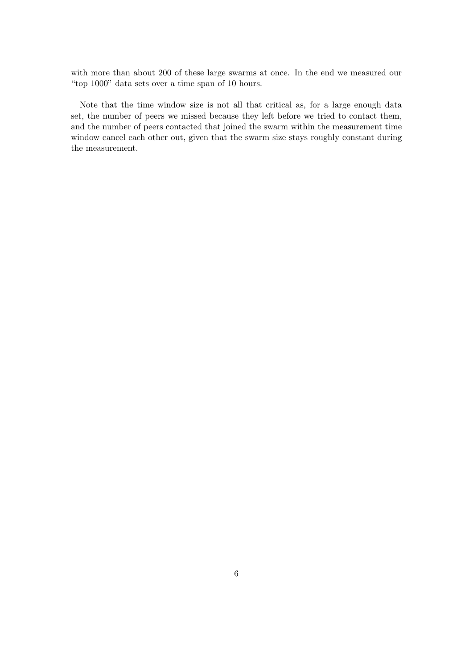with more than about 200 of these large swarms at once. In the end we measured our "top 1000" data sets over a time span of 10 hours.

Note that the time window size is not all that critical as, for a large enough data set, the number of peers we missed because they left before we tried to contact them, and the number of peers contacted that joined the swarm within the measurement time window cancel each other out, given that the swarm size stays roughly constant during the measurement.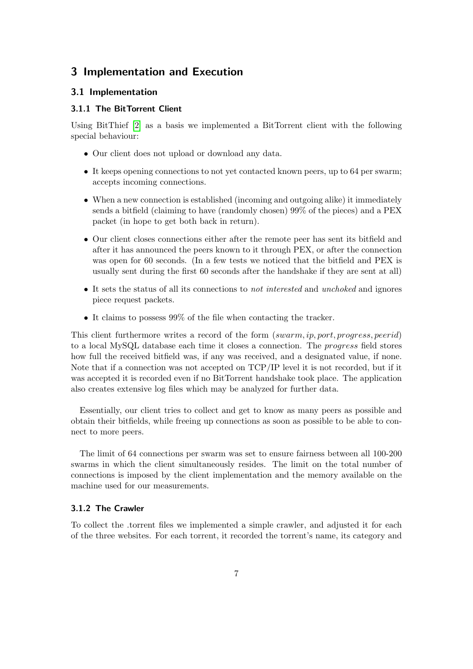# <span id="page-6-0"></span>3 Implementation and Execution

#### <span id="page-6-1"></span>3.1 Implementation

#### <span id="page-6-2"></span>3.1.1 The BitTorrent Client

Using BitThief [\[2\]](#page-15-0) as a basis we implemented a BitTorrent client with the following special behaviour:

- Our client does not upload or download any data.
- It keeps opening connections to not yet contacted known peers, up to 64 per swarm; accepts incoming connections.
- When a new connection is established (incoming and outgoing alike) it immediately sends a bitfield (claiming to have (randomly chosen) 99% of the pieces) and a PEX packet (in hope to get both back in return).
- Our client closes connections either after the remote peer has sent its bitfield and after it has announced the peers known to it through PEX, or after the connection was open for 60 seconds. (In a few tests we noticed that the bitfield and PEX is usually sent during the first 60 seconds after the handshake if they are sent at all)
- It sets the status of all its connections to *not interested* and *unchoked* and ignores piece request packets.
- It claims to possess 99% of the file when contacting the tracker.

This client furthermore writes a record of the form (swarm, ip, port, progress, peerid) to a local MySQL database each time it closes a connection. The progress field stores how full the received bitfield was, if any was received, and a designated value, if none. Note that if a connection was not accepted on TCP/IP level it is not recorded, but if it was accepted it is recorded even if no BitTorrent handshake took place. The application also creates extensive log files which may be analyzed for further data.

Essentially, our client tries to collect and get to know as many peers as possible and obtain their bitfields, while freeing up connections as soon as possible to be able to connect to more peers.

The limit of 64 connections per swarm was set to ensure fairness between all 100-200 swarms in which the client simultaneously resides. The limit on the total number of connections is imposed by the client implementation and the memory available on the machine used for our measurements.

#### <span id="page-6-3"></span>3.1.2 The Crawler

To collect the .torrent files we implemented a simple crawler, and adjusted it for each of the three websites. For each torrent, it recorded the torrent's name, its category and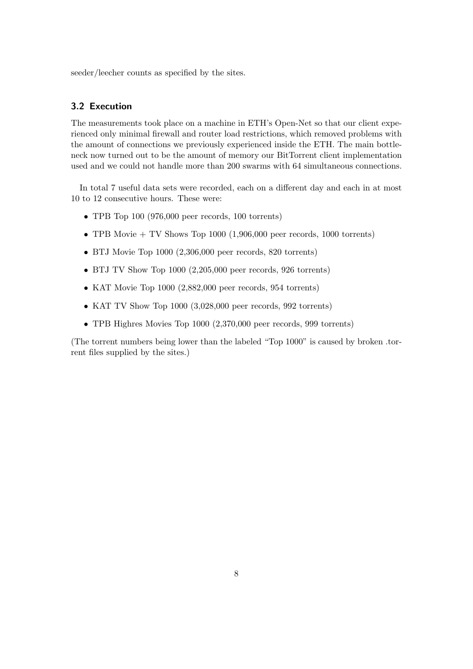seeder/leecher counts as specified by the sites.

#### <span id="page-7-0"></span>3.2 Execution

The measurements took place on a machine in ETH's Open-Net so that our client experienced only minimal firewall and router load restrictions, which removed problems with the amount of connections we previously experienced inside the ETH. The main bottleneck now turned out to be the amount of memory our BitTorrent client implementation used and we could not handle more than 200 swarms with 64 simultaneous connections.

In total 7 useful data sets were recorded, each on a different day and each in at most 10 to 12 consecutive hours. These were:

- TPB Top 100 (976,000 peer records, 100 torrents)
- TPB Movie  $+$  TV Shows Top 1000 (1,906,000 peer records, 1000 torrents)
- BTJ Movie Top 1000 (2,306,000 peer records, 820 torrents)
- BTJ TV Show Top 1000 (2,205,000 peer records, 926 torrents)
- KAT Movie Top 1000 (2,882,000 peer records, 954 torrents)
- KAT TV Show Top 1000 (3,028,000 peer records, 992 torrents)
- TPB Highres Movies Top 1000 (2,370,000 peer records, 999 torrents)

(The torrent numbers being lower than the labeled "Top 1000" is caused by broken .torrent files supplied by the sites.)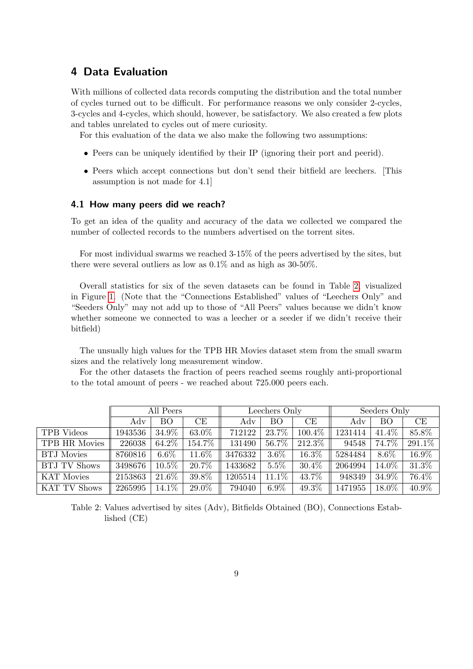# <span id="page-8-0"></span>4 Data Evaluation

With millions of collected data records computing the distribution and the total number of cycles turned out to be difficult. For performance reasons we only consider 2-cycles, 3-cycles and 4-cycles, which should, however, be satisfactory. We also created a few plots and tables unrelated to cycles out of mere curiosity.

For this evaluation of the data we also make the following two assumptions:

- Peers can be uniquely identified by their IP (ignoring their port and peerid).
- Peers which accept connections but don't send their bitfield are leechers. [This assumption is not made for 4.1]

#### <span id="page-8-1"></span>4.1 How many peers did we reach?

To get an idea of the quality and accuracy of the data we collected we compared the number of collected records to the numbers advertised on the torrent sites.

For most individual swarms we reached 3-15% of the peers advertised by the sites, but there were several outliers as low as 0.1% and as high as 30-50%.

Overall statistics for six of the seven datasets can be found in Table [2,](#page-8-2) visualized in Figure [1.](#page-9-1) (Note that the "Connections Established" values of "Leechers Only" and "Seeders Only" may not add up to those of "All Peers" values because we didn't know whether someone we connected to was a leecher or a seeder if we didn't receive their bitfield)

The unsually high values for the TPB HR Movies dataset stem from the small swarm sizes and the relatively long measurement window.

For the other datasets the fraction of peers reached seems roughly anti-proportional to the total amount of peers - we reached about 725.000 peers each.

|                     | All Peers |           |        | Leechers Only |           |          | Seeders Only |           |                     |
|---------------------|-----------|-----------|--------|---------------|-----------|----------|--------------|-----------|---------------------|
|                     | Adv       | <b>BO</b> | CE     | Adv           | <b>BO</b> | CE       | Adv          | <b>BO</b> | CE                  |
| TPB Videos          | 1943536   | 34.9%     | 63.0%  | 712122        | 23.7%     | 100.4%   | 1231414      | 41.4\%    | 85.8%               |
| TPB HR Movies       | 226038    | 64.2%     | 154.7% | 131490        | 56.7%     | 212.3%   | 94548        | 74.7%     | 291.1\%             |
| <b>BTJ</b> Movies   | 8760816   | $6.6\%$   | 11.6%  | 3476332       | $3.6\%$   | 16.3%    | 5284484      | $8.6\%$   | $16.\overline{9\%}$ |
| <b>BTJ TV Shows</b> | 3498676   | $10.5\%$  | 20.7%  | 1433682       | $5.5\%$   | $30.4\%$ | 2064994      | 14.0%     | 31.3%               |
| <b>KAT Movies</b>   | 2153863   | 21.6%     | 39.8%  | 1205514       | 11.1%     | 43.7%    | 948349       | 34.9%     | 76.4%               |
| <b>KAT TV Shows</b> | 2265995   | 14.1%     | 29.0%  | 794040        | $6.9\%$   | 49.3%    | 1471955      | 18.0%     | 40.9%               |

<span id="page-8-2"></span>Table 2: Values advertised by sites (Adv), Bitfields Obtained (BO), Connections Established (CE)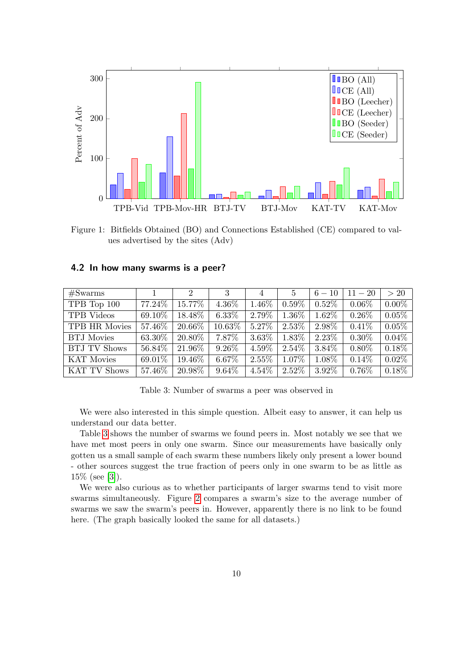

<span id="page-9-1"></span>Figure 1: Bitfields Obtained (BO) and Connections Established (CE) compared to values advertised by the sites (Adv)

| #Swarms             |         | $\overline{2}$ | -3       | $\overline{4}$ | $\frac{5}{2}$ | $6-10$   | $11 - 20$ | >20      |
|---------------------|---------|----------------|----------|----------------|---------------|----------|-----------|----------|
| TPB Top 100         | 77.24\% | 15.77%         | 4.36%    | 1.46%          | $0.59\%$      | $0.52\%$ | $0.06\%$  | $0.00\%$ |
| <b>TPB</b> Videos   | 69.10\% | 18.48%         | $6.33\%$ | 2.79%          | 1.36\%        | 1.62%    | $0.26\%$  | 0.05%    |
| TPB HR Movies       | 57.46\% | 20.66\%        | 10.63%   | 5.27%          | $2.53\%$      | 2.98%    | $0.41\%$  | 0.05%    |
| <b>BTJ</b> Movies   | 63.30%  | 20.80\%        | 7.87\%   | $3.63\%$       | 1.83%         | 2.23\%   | $0.30\%$  | $0.04\%$ |
| <b>BTJ TV Shows</b> | 56.84\% | 21.96%         | $9.26\%$ | 4.59%          | $2.54\%$      | 3.84%    | $0.80\%$  | $0.18\%$ |
| <b>KAT Movies</b>   | 69.01%  | 19.46\%        | 6.67%    | $2.55\%$       | 1.07%         | 1.08%    | $0.14\%$  | 0.02%    |
| <b>KAT TV Shows</b> | 57.46\% | 20.98%         | $9.64\%$ | 4.54%          | $2.52\%$      | 3.92%    | $0.76\%$  | 0.18%    |

#### <span id="page-9-0"></span>4.2 In how many swarms is a peer?

<span id="page-9-2"></span>Table 3: Number of swarms a peer was observed in

We were also interested in this simple question. Albeit easy to answer, it can help us understand our data better.

Table [3](#page-9-2) shows the number of swarms we found peers in. Most notably we see that we have met most peers in only one swarm. Since our measurements have basically only gotten us a small sample of each swarm these numbers likely only present a lower bound - other sources suggest the true fraction of peers only in one swarm to be as little as 15% (see [\[3\]](#page-15-4)).

We were also curious as to whether participants of larger swarms tend to visit more swarms simultaneously. Figure [2](#page-11-0) compares a swarm's size to the average number of swarms we saw the swarm's peers in. However, apparently there is no link to be found here. (The graph basically looked the same for all datasets.)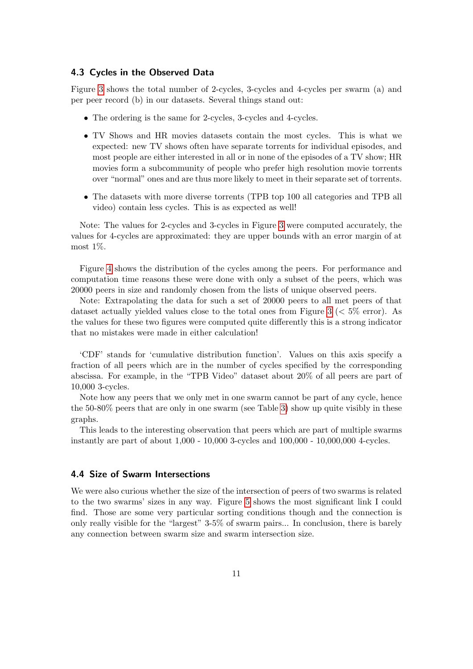#### <span id="page-10-0"></span>4.3 Cycles in the Observed Data

Figure [3](#page-11-1) shows the total number of 2-cycles, 3-cycles and 4-cycles per swarm (a) and per peer record (b) in our datasets. Several things stand out:

- The ordering is the same for 2-cycles, 3-cycles and 4-cycles.
- TV Shows and HR movies datasets contain the most cycles. This is what we expected: new TV shows often have separate torrents for individual episodes, and most people are either interested in all or in none of the episodes of a TV show; HR movies form a subcommunity of people who prefer high resolution movie torrents over "normal" ones and are thus more likely to meet in their separate set of torrents.
- The datasets with more diverse torrents (TPB top 100 all categories and TPB all video) contain less cycles. This is as expected as well!

Note: The values for 2-cycles and 3-cycles in Figure [3](#page-11-1) were computed accurately, the values for 4-cycles are approximated: they are upper bounds with an error margin of at most 1%.

Figure [4](#page-12-0) shows the distribution of the cycles among the peers. For performance and computation time reasons these were done with only a subset of the peers, which was 20000 peers in size and randomly chosen from the lists of unique observed peers.

Note: Extrapolating the data for such a set of 20000 peers to all met peers of that dataset actually yielded values close to the total ones from Figure [3](#page-11-1) ( $< 5\%$  error). As the values for these two figures were computed quite differently this is a strong indicator that no mistakes were made in either calculation!

'CDF' stands for 'cumulative distribution function'. Values on this axis specify a fraction of all peers which are in the number of cycles specified by the corresponding abscissa. For example, in the "TPB Video" dataset about 20% of all peers are part of 10,000 3-cycles.

Note how any peers that we only met in one swarm cannot be part of any cycle, hence the 50-80% peers that are only in one swarm (see Table [3\)](#page-9-2) show up quite visibly in these graphs.

This leads to the interesting observation that peers which are part of multiple swarms instantly are part of about 1,000 - 10,000 3-cycles and 100,000 - 10,000,000 4-cycles.

#### <span id="page-10-1"></span>4.4 Size of Swarm Intersections

We were also curious whether the size of the intersection of peers of two swarms is related to the two swarms' sizes in any way. Figure [5](#page-13-1) shows the most significant link I could find. Those are some very particular sorting conditions though and the connection is only really visible for the "largest" 3-5% of swarm pairs... In conclusion, there is barely any connection between swarm size and swarm intersection size.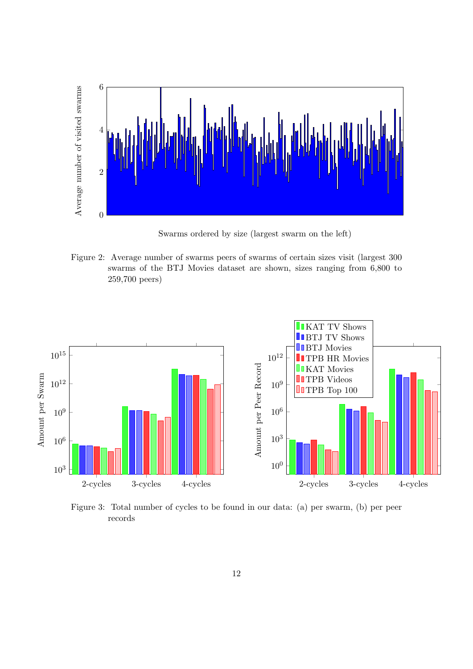

Swarms ordered by size (largest swarm on the left)

<span id="page-11-0"></span>Figure 2: Average number of swarms peers of swarms of certain sizes visit (largest 300 swarms of the BTJ Movies dataset are shown, sizes ranging from 6,800 to 259,700 peers)



<span id="page-11-1"></span>Figure 3: Total number of cycles to be found in our data: (a) per swarm, (b) per peer records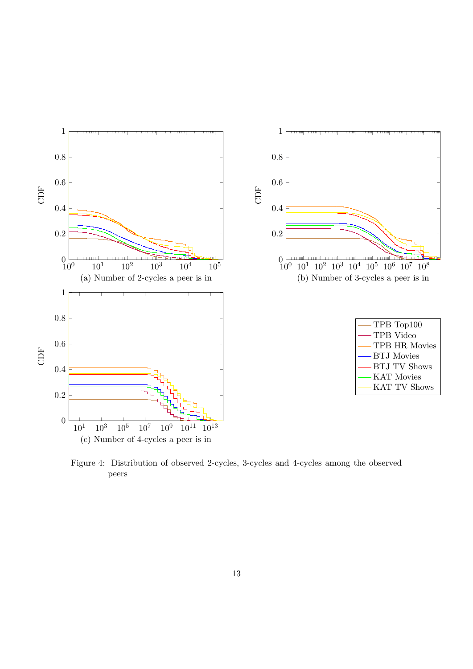

<span id="page-12-0"></span>Figure 4: Distribution of observed 2-cycles, 3-cycles and 4-cycles among the observed peers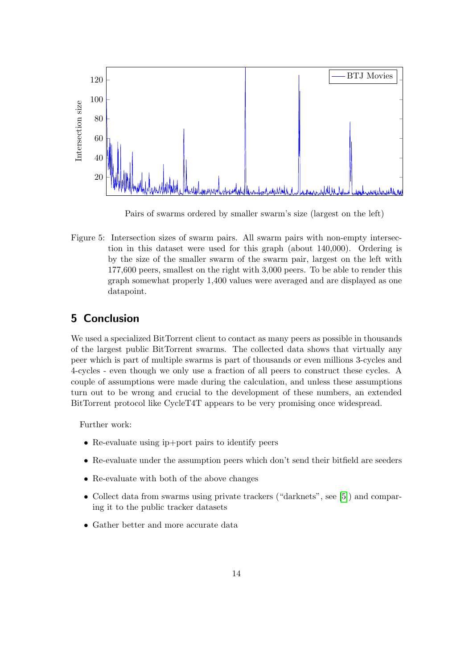

<span id="page-13-1"></span>Pairs of swarms ordered by smaller swarm's size (largest on the left)

Figure 5: Intersection sizes of swarm pairs. All swarm pairs with non-empty intersection in this dataset were used for this graph (about 140,000). Ordering is by the size of the smaller swarm of the swarm pair, largest on the left with 177,600 peers, smallest on the right with 3,000 peers. To be able to render this graph somewhat properly 1,400 values were averaged and are displayed as one datapoint.

# <span id="page-13-0"></span>5 Conclusion

We used a specialized BitTorrent client to contact as many peers as possible in thousands of the largest public BitTorrent swarms. The collected data shows that virtually any peer which is part of multiple swarms is part of thousands or even millions 3-cycles and 4-cycles - even though we only use a fraction of all peers to construct these cycles. A couple of assumptions were made during the calculation, and unless these assumptions turn out to be wrong and crucial to the development of these numbers, an extended BitTorrent protocol like CycleT4T appears to be very promising once widespread.

Further work:

- Re-evaluate using ip+port pairs to identify peers
- Re-evaluate under the assumption peers which don't send their bitfield are seeders
- Re-evaluate with both of the above changes
- Collect data from swarms using private trackers ("darknets", see [\[5\]](#page-15-3)) and comparing it to the public tracker datasets
- Gather better and more accurate data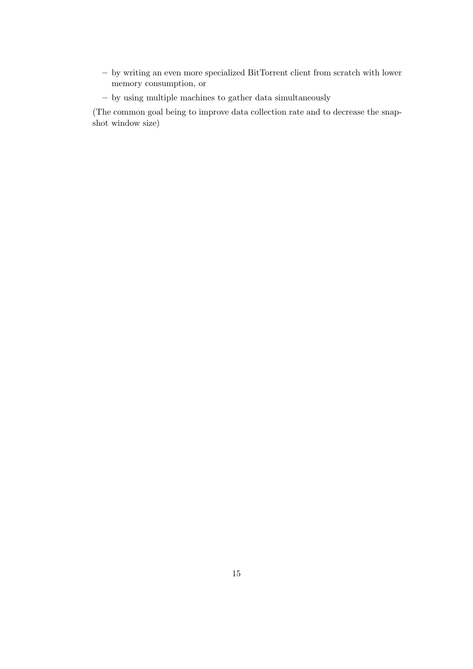- by writing an even more specialized BitTorrent client from scratch with lower memory consumption, or
- by using multiple machines to gather data simultaneously

(The common goal being to improve data collection rate and to decrease the snapshot window size)